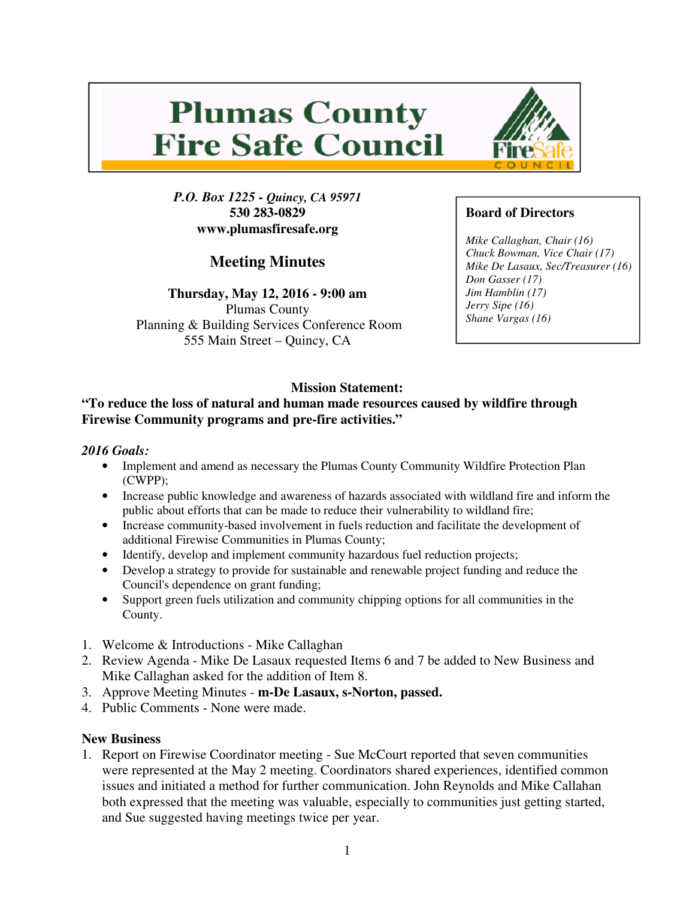# **Plumas County Fire Safe Council**



**Meeting Minutes** 

**Thursday, May 12, 2016 - 9:00 am**  Plumas County Planning & Building Services Conference Room 555 Main Street – Quincy, CA



# **Board of Directors**

*Mike Callaghan, Chair (16) Chuck Bowman, Vice Chair (17) Mike De Lasaux, Sec/Treasurer (16) Don Gasser (17) Jim Hamblin (17) Jerry Sipe (16) Shane Vargas (16)* 

# **Mission Statement:**

#### **"To reduce the loss of natural and human made resources caused by wildfire through Firewise Community programs and pre-fire activities."**

#### *2016 Goals:*

- Implement and amend as necessary the Plumas County Community Wildfire Protection Plan (CWPP);
- Increase public knowledge and awareness of hazards associated with wildland fire and inform the public about efforts that can be made to reduce their vulnerability to wildland fire;
- Increase community-based involvement in fuels reduction and facilitate the development of additional Firewise Communities in Plumas County;
- Identify, develop and implement community hazardous fuel reduction projects;
- Develop a strategy to provide for sustainable and renewable project funding and reduce the Council's dependence on grant funding;
- Support green fuels utilization and community chipping options for all communities in the County.
- 1. Welcome & Introductions Mike Callaghan
- 2. Review Agenda Mike De Lasaux requested Items 6 and 7 be added to New Business and Mike Callaghan asked for the addition of Item 8.
- 3. Approve Meeting Minutes **m-De Lasaux, s-Norton, passed.**
- 4. Public Comments None were made.

## **New Business**

1. Report on Firewise Coordinator meeting - Sue McCourt reported that seven communities were represented at the May 2 meeting. Coordinators shared experiences, identified common issues and initiated a method for further communication. John Reynolds and Mike Callahan both expressed that the meeting was valuable, especially to communities just getting started, and Sue suggested having meetings twice per year.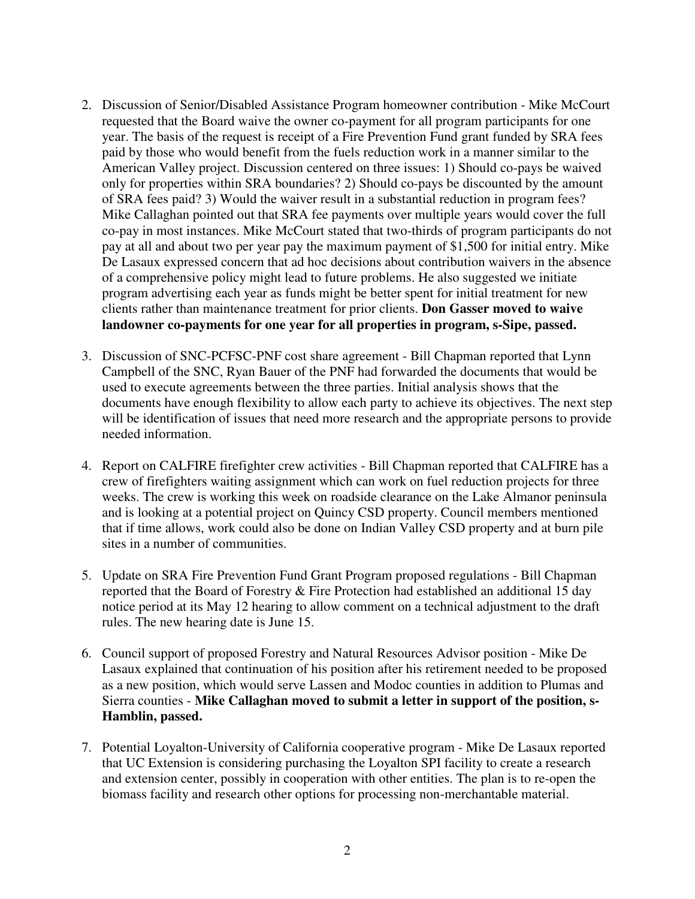- 2. Discussion of Senior/Disabled Assistance Program homeowner contribution Mike McCourt requested that the Board waive the owner co-payment for all program participants for one year. The basis of the request is receipt of a Fire Prevention Fund grant funded by SRA fees paid by those who would benefit from the fuels reduction work in a manner similar to the American Valley project. Discussion centered on three issues: 1) Should co-pays be waived only for properties within SRA boundaries? 2) Should co-pays be discounted by the amount of SRA fees paid? 3) Would the waiver result in a substantial reduction in program fees? Mike Callaghan pointed out that SRA fee payments over multiple years would cover the full co-pay in most instances. Mike McCourt stated that two-thirds of program participants do not pay at all and about two per year pay the maximum payment of \$1,500 for initial entry. Mike De Lasaux expressed concern that ad hoc decisions about contribution waivers in the absence of a comprehensive policy might lead to future problems. He also suggested we initiate program advertising each year as funds might be better spent for initial treatment for new clients rather than maintenance treatment for prior clients. **Don Gasser moved to waive landowner co-payments for one year for all properties in program, s-Sipe, passed.**
- 3. Discussion of SNC-PCFSC-PNF cost share agreement Bill Chapman reported that Lynn Campbell of the SNC, Ryan Bauer of the PNF had forwarded the documents that would be used to execute agreements between the three parties. Initial analysis shows that the documents have enough flexibility to allow each party to achieve its objectives. The next step will be identification of issues that need more research and the appropriate persons to provide needed information.
- 4. Report on CALFIRE firefighter crew activities Bill Chapman reported that CALFIRE has a crew of firefighters waiting assignment which can work on fuel reduction projects for three weeks. The crew is working this week on roadside clearance on the Lake Almanor peninsula and is looking at a potential project on Quincy CSD property. Council members mentioned that if time allows, work could also be done on Indian Valley CSD property and at burn pile sites in a number of communities.
- 5. Update on SRA Fire Prevention Fund Grant Program proposed regulations Bill Chapman reported that the Board of Forestry & Fire Protection had established an additional 15 day notice period at its May 12 hearing to allow comment on a technical adjustment to the draft rules. The new hearing date is June 15.
- 6. Council support of proposed Forestry and Natural Resources Advisor position Mike De Lasaux explained that continuation of his position after his retirement needed to be proposed as a new position, which would serve Lassen and Modoc counties in addition to Plumas and Sierra counties - **Mike Callaghan moved to submit a letter in support of the position, s-Hamblin, passed.**
- 7. Potential Loyalton-University of California cooperative program Mike De Lasaux reported that UC Extension is considering purchasing the Loyalton SPI facility to create a research and extension center, possibly in cooperation with other entities. The plan is to re-open the biomass facility and research other options for processing non-merchantable material.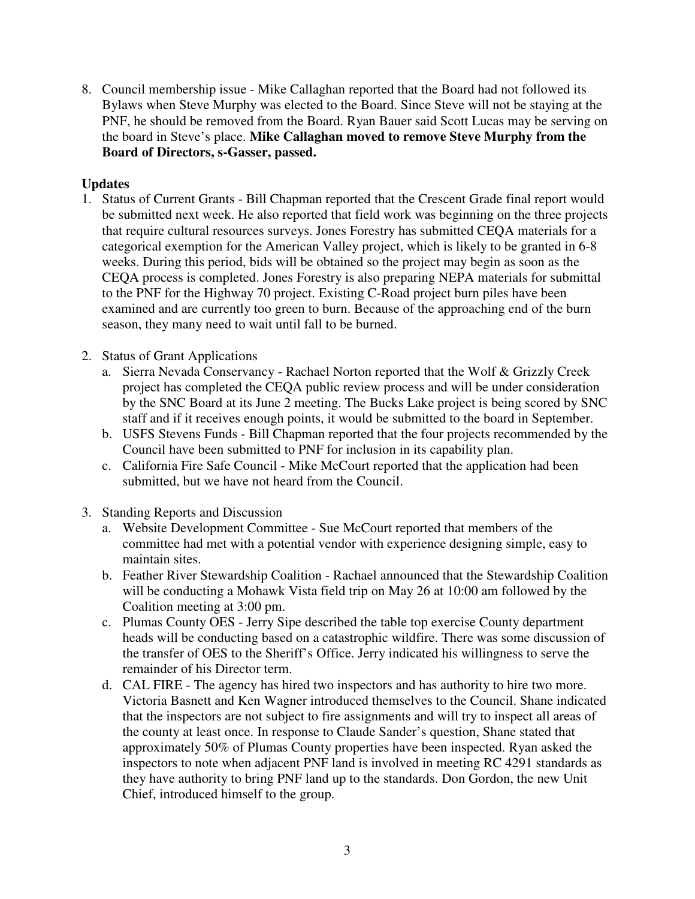8. Council membership issue - Mike Callaghan reported that the Board had not followed its Bylaws when Steve Murphy was elected to the Board. Since Steve will not be staying at the PNF, he should be removed from the Board. Ryan Bauer said Scott Lucas may be serving on the board in Steve's place. **Mike Callaghan moved to remove Steve Murphy from the Board of Directors, s-Gasser, passed.** 

## **Updates**

- 1. Status of Current Grants Bill Chapman reported that the Crescent Grade final report would be submitted next week. He also reported that field work was beginning on the three projects that require cultural resources surveys. Jones Forestry has submitted CEQA materials for a categorical exemption for the American Valley project, which is likely to be granted in 6-8 weeks. During this period, bids will be obtained so the project may begin as soon as the CEQA process is completed. Jones Forestry is also preparing NEPA materials for submittal to the PNF for the Highway 70 project. Existing C-Road project burn piles have been examined and are currently too green to burn. Because of the approaching end of the burn season, they many need to wait until fall to be burned.
- 2. Status of Grant Applications
	- a. Sierra Nevada Conservancy Rachael Norton reported that the Wolf & Grizzly Creek project has completed the CEQA public review process and will be under consideration by the SNC Board at its June 2 meeting. The Bucks Lake project is being scored by SNC staff and if it receives enough points, it would be submitted to the board in September.
	- b. USFS Stevens Funds Bill Chapman reported that the four projects recommended by the Council have been submitted to PNF for inclusion in its capability plan.
	- c. California Fire Safe Council Mike McCourt reported that the application had been submitted, but we have not heard from the Council.
- 3. Standing Reports and Discussion
	- a. Website Development Committee Sue McCourt reported that members of the committee had met with a potential vendor with experience designing simple, easy to maintain sites.
	- b. Feather River Stewardship Coalition Rachael announced that the Stewardship Coalition will be conducting a Mohawk Vista field trip on May 26 at 10:00 am followed by the Coalition meeting at 3:00 pm.
	- c. Plumas County OES Jerry Sipe described the table top exercise County department heads will be conducting based on a catastrophic wildfire. There was some discussion of the transfer of OES to the Sheriff's Office. Jerry indicated his willingness to serve the remainder of his Director term.
	- d. CAL FIRE The agency has hired two inspectors and has authority to hire two more. Victoria Basnett and Ken Wagner introduced themselves to the Council. Shane indicated that the inspectors are not subject to fire assignments and will try to inspect all areas of the county at least once. In response to Claude Sander's question, Shane stated that approximately 50% of Plumas County properties have been inspected. Ryan asked the inspectors to note when adjacent PNF land is involved in meeting RC 4291 standards as they have authority to bring PNF land up to the standards. Don Gordon, the new Unit Chief, introduced himself to the group.